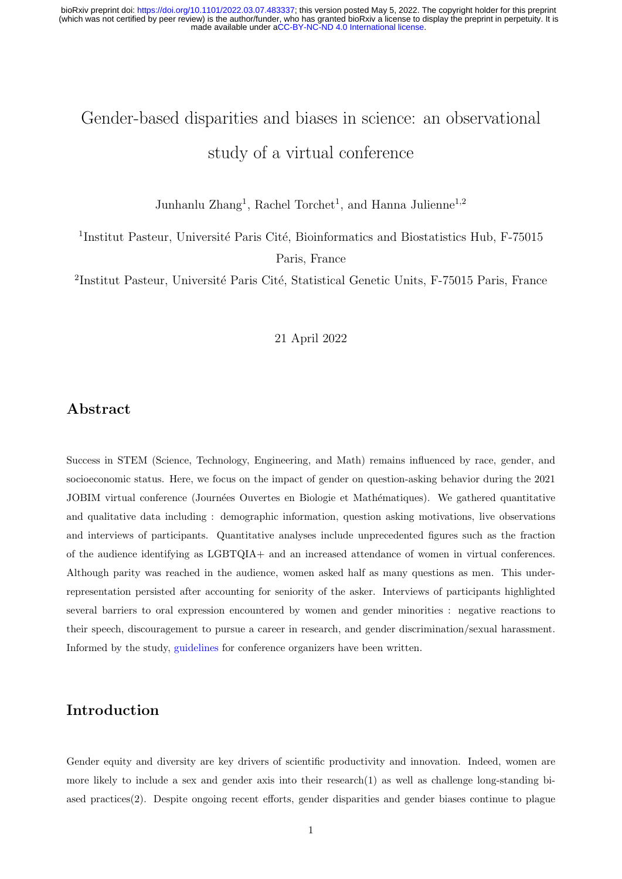# <span id="page-0-0"></span>Gender-based disparities and biases in science: an observational study of a virtual conference

Junhanlu Zhang<sup>1</sup>, Rachel Torchet<sup>1</sup>, and Hanna Julienne<sup>1,2</sup>

<sup>1</sup>Institut Pasteur, Université Paris Cité, Bioinformatics and Biostatistics Hub, F-75015 Paris, France

<sup>2</sup>Institut Pasteur, Université Paris Cité, Statistical Genetic Units, F-75015 Paris, France

21 April 2022

### Abstract

Success in STEM (Science, Technology, Engineering, and Math) remains influenced by race, gender, and socioeconomic status. Here, we focus on the impact of gender on question-asking behavior during the 2021 JOBIM virtual conference (Journées Ouvertes en Biologie et Mathématiques). We gathered quantitative and qualitative data including : demographic information, question asking motivations, live observations and interviews of participants. Quantitative analyses include unprecedented figures such as the fraction of the audience identifying as LGBTQIA+ and an increased attendance of women in virtual conferences. Although parity was reached in the audience, women asked half as many questions as men. This underrepresentation persisted after accounting for seniority of the asker. Interviews of participants highlighted several barriers to oral expression encountered by women and gender minorities : negative reactions to their speech, discouragement to pursue a career in research, and gender discrimination/sexual harassment. Informed by the study, [guidelines](https://research.pasteur.fr/wp-content/uploads/2021/04/research_pasteur-jobim-2021-pilotproject-genderspeakingdifferencesin-academia-gender-equal-and-1-2.pdf) for conference organizers have been written.

## Introduction

Gender equity and diversity are key drivers of scientific productivity and innovation. Indeed, women are more likely to include a sex and gender axis into their research[\(1\)](#page-19-0) as well as challenge long-standing biased practices[\(2\)](#page-19-1). Despite ongoing recent efforts, gender disparities and gender biases continue to plague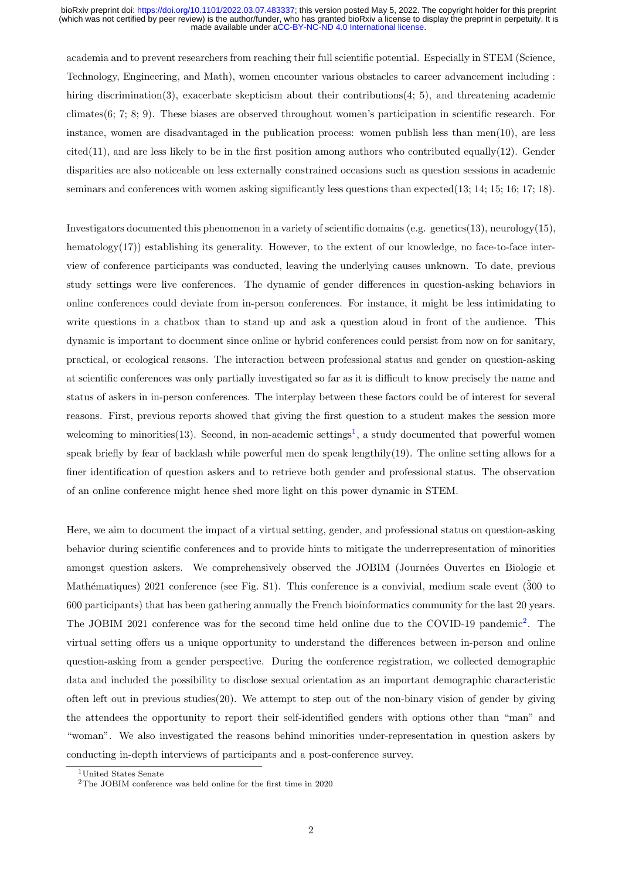academia and to prevent researchers from reaching their full scientific potential. Especially in STEM (Science, Technology, Engineering, and Math), women encounter various obstacles to career advancement including : hiring discrimination[\(3\)](#page-19-2), exacerbate skepticism about their contributions[\(4;](#page-19-3) [5\)](#page-19-4), and threatening academic climates[\(6;](#page-19-5) [7;](#page-19-6) [8;](#page-19-7) [9\)](#page-19-8). These biases are observed throughout women's participation in scientific research. For instance, women are disadvantaged in the publication process: women publish less than men[\(10\)](#page-19-9), are less  $cited(11)$  $cited(11)$ , and are less likely to be in the first position among authors who contributed equally $(12)$ . Gender disparities are also noticeable on less externally constrained occasions such as question sessions in academic seminars and conferences with women asking significantly less questions than expected[\(13;](#page-19-12) [14;](#page-19-13) [15;](#page-19-14) [16;](#page-20-0) [17;](#page-20-1) [18\)](#page-20-2).

Investigators documented this phenomenon in a variety of scientific domains (e.g. genetics[\(13\)](#page-19-12), neurology[\(15\)](#page-19-14), hematology[\(17\)](#page-20-1)) establishing its generality. However, to the extent of our knowledge, no face-to-face interview of conference participants was conducted, leaving the underlying causes unknown. To date, previous study settings were live conferences. The dynamic of gender differences in question-asking behaviors in online conferences could deviate from in-person conferences. For instance, it might be less intimidating to write questions in a chatbox than to stand up and ask a question aloud in front of the audience. This dynamic is important to document since online or hybrid conferences could persist from now on for sanitary, practical, or ecological reasons. The interaction between professional status and gender on question-asking at scientific conferences was only partially investigated so far as it is difficult to know precisely the name and status of askers in in-person conferences. The interplay between these factors could be of interest for several reasons. First, previous reports showed that giving the first question to a student makes the session more welcoming to minorities [\(13\)](#page-19-12). Second, in non-academic settings<sup>[1](#page-0-0)</sup>, a study documented that powerful women speak briefly by fear of backlash while powerful men do speak lengthily[\(19\)](#page-20-3). The online setting allows for a finer identification of question askers and to retrieve both gender and professional status. The observation of an online conference might hence shed more light on this power dynamic in STEM.

Here, we aim to document the impact of a virtual setting, gender, and professional status on question-asking behavior during scientific conferences and to provide hints to mitigate the underrepresentation of minorities amongst question askers. We comprehensively observed the JOBIM (Journées Ouvertes en Biologie et Mathématiques) 2021 conference (see Fig. S1). This conference is a convivial, medium scale event  $(300 \text{ to } 500 \text{ to } 500 \text{ to } 500 \text{ to } 500 \text{ to } 500 \text{ to } 500 \text{ to } 500 \text{ to } 500 \text{ to } 500 \text{ to } 500 \text{ to } 500 \text{ to } 500 \text{ to } 500 \text$ 600 participants) that has been gathering annually the French bioinformatics community for the last 20 years. The JOBIM [2](#page-0-0)021 conference was for the second time held online due to the COVID-19 pandemic<sup>2</sup>. The virtual setting offers us a unique opportunity to understand the differences between in-person and online question-asking from a gender perspective. During the conference registration, we collected demographic data and included the possibility to disclose sexual orientation as an important demographic characteristic often left out in previous studies[\(20\)](#page-20-4). We attempt to step out of the non-binary vision of gender by giving the attendees the opportunity to report their self-identified genders with options other than "man" and "woman". We also investigated the reasons behind minorities under-representation in question askers by conducting in-depth interviews of participants and a post-conference survey.

<sup>&</sup>lt;sup>1</sup>United States Senate

<sup>2</sup>The JOBIM conference was held online for the first time in 2020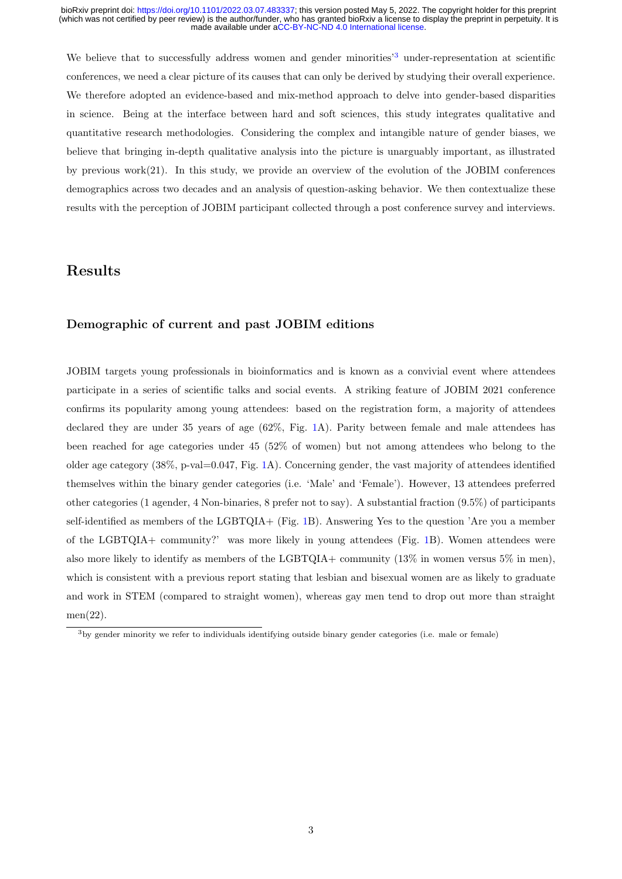We believe that to successfully address women and gender minorities<sup>[3](#page-0-0)</sup> under-representation at scientific conferences, we need a clear picture of its causes that can only be derived by studying their overall experience. We therefore adopted an evidence-based and mix-method approach to delve into gender-based disparities in science. Being at the interface between hard and soft sciences, this study integrates qualitative and quantitative research methodologies. Considering the complex and intangible nature of gender biases, we believe that bringing in-depth qualitative analysis into the picture is unarguably important, as illustrated by previous work[\(21\)](#page-20-5). In this study, we provide an overview of the evolution of the JOBIM conferences demographics across two decades and an analysis of question-asking behavior. We then contextualize these results with the perception of JOBIM participant collected through a post conference survey and interviews.

### Results

### Demographic of current and past JOBIM editions

JOBIM targets young professionals in bioinformatics and is known as a convivial event where attendees participate in a series of scientific talks and social events. A striking feature of JOBIM 2021 conference confirms its popularity among young attendees: based on the registration form, a majority of attendees declared they are under 35 years of age (62%, Fig. [1A](#page-3-0)). Parity between female and male attendees has been reached for age categories under 45 (52% of women) but not among attendees who belong to the older age category  $(38\%, p-value=0.047, Fig. 1A)$  $(38\%, p-value=0.047, Fig. 1A)$  $(38\%, p-value=0.047, Fig. 1A)$ . Concerning gender, the vast majority of attendees identified themselves within the binary gender categories (i.e. 'Male' and 'Female'). However, 13 attendees preferred other categories (1 agender, 4 Non-binaries, 8 prefer not to say). A substantial fraction (9.5%) of participants self-identified as members of the LGBTQIA+ (Fig. [1B](#page-3-0)). Answering Yes to the question 'Are you a member of the LGBTQIA+ community?' was more likely in young attendees (Fig. [1B](#page-3-0)). Women attendees were also more likely to identify as members of the LGBTQIA+ community  $(13\%$  in women versus 5% in men), which is consistent with a previous report stating that lesbian and bisexual women are as likely to graduate and work in STEM (compared to straight women), whereas gay men tend to drop out more than straight men[\(22\)](#page-20-6).

<sup>3</sup>by gender minority we refer to individuals identifying outside binary gender categories (i.e. male or female)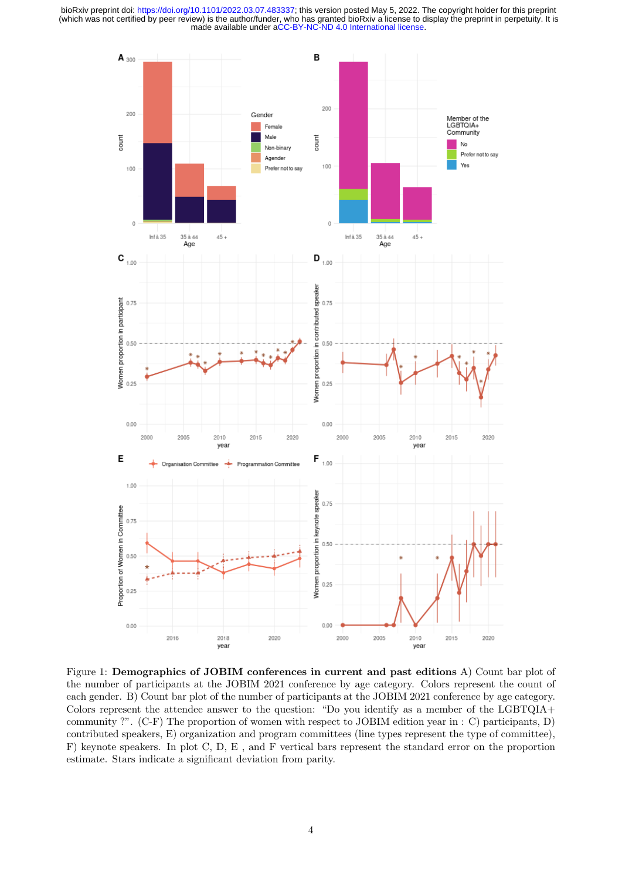

<span id="page-3-0"></span>Figure 1: Demographics of JOBIM conferences in current and past editions A) Count bar plot of the number of participants at the JOBIM 2021 conference by age category. Colors represent the count of each gender. B) Count bar plot of the number of participants at the JOBIM 2021 conference by age category. Colors represent the attendee answer to the question: "Do you identify as a member of the LGBTQIA+ community ?". (C-F) The proportion of women with respect to JOBIM edition year in : C) participants, D) contributed speakers, E) organization and program committees (line types represent the type of committee), F) keynote speakers. In plot C, D, E , and F vertical bars represent the standard error on the proportion estimate. Stars indicate a significant deviation from parity.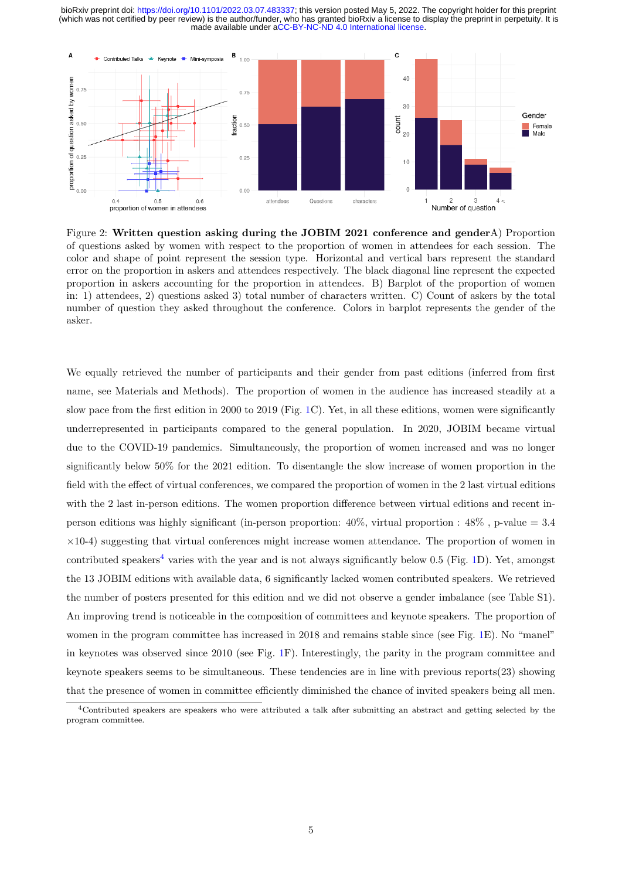

<span id="page-4-0"></span>Figure 2: Written question asking during the JOBIM 2021 conference and genderA) Proportion of questions asked by women with respect to the proportion of women in attendees for each session. The color and shape of point represent the session type. Horizontal and vertical bars represent the standard error on the proportion in askers and attendees respectively. The black diagonal line represent the expected proportion in askers accounting for the proportion in attendees. B) Barplot of the proportion of women in: 1) attendees, 2) questions asked 3) total number of characters written. C) Count of askers by the total number of question they asked throughout the conference. Colors in barplot represents the gender of the asker.

We equally retrieved the number of participants and their gender from past editions (inferred from first name, see Materials and Methods). The proportion of women in the audience has increased steadily at a slow pace from the first edition in 2000 to 2019 (Fig. [1C](#page-3-0)). Yet, in all these editions, women were significantly underrepresented in participants compared to the general population. In 2020, JOBIM became virtual due to the COVID-19 pandemics. Simultaneously, the proportion of women increased and was no longer significantly below 50% for the 2021 edition. To disentangle the slow increase of women proportion in the field with the effect of virtual conferences, we compared the proportion of women in the 2 last virtual editions with the 2 last in-person editions. The women proportion difference between virtual editions and recent inperson editions was highly significant (in-person proportion:  $40\%$ , virtual proportion :  $48\%$ , p-value = 3.4  $\times$ 10-4) suggesting that virtual conferences might increase women attendance. The proportion of women in contributed speakers<sup>[4](#page-0-0)</sup> varies with the year and is not always significantly below 0.5 (Fig. [1D](#page-3-0)). Yet, amongst the 13 JOBIM editions with available data, 6 significantly lacked women contributed speakers. We retrieved the number of posters presented for this edition and we did not observe a gender imbalance (see Table S1). An improving trend is noticeable in the composition of committees and keynote speakers. The proportion of women in the program committee has increased in 2018 and remains stable since (see Fig. [1E](#page-3-0)). No "manel" in keynotes was observed since 2010 (see Fig. [1F](#page-3-0)). Interestingly, the parity in the program committee and keynote speakers seems to be simultaneous. These tendencies are in line with previous reports[\(23\)](#page-20-7) showing that the presence of women in committee efficiently diminished the chance of invited speakers being all men.

<sup>&</sup>lt;sup>4</sup>Contributed speakers are speakers who were attributed a talk after submitting an abstract and getting selected by the program committee.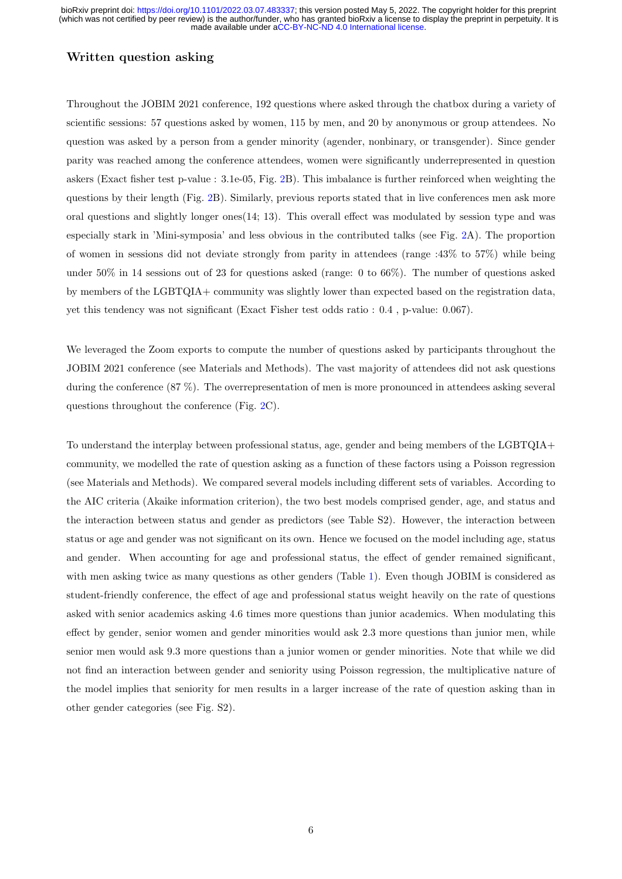### Written question asking

Throughout the JOBIM 2021 conference, 192 questions where asked through the chatbox during a variety of scientific sessions: 57 questions asked by women, 115 by men, and 20 by anonymous or group attendees. No question was asked by a person from a gender minority (agender, nonbinary, or transgender). Since gender parity was reached among the conference attendees, women were significantly underrepresented in question askers (Exact fisher test p-value : 3.1e-05, Fig. [2B](#page-4-0)). This imbalance is further reinforced when weighting the questions by their length (Fig. [2B](#page-4-0)). Similarly, previous reports stated that in live conferences men ask more oral questions and slightly longer ones[\(14;](#page-19-13) [13\)](#page-19-12). This overall effect was modulated by session type and was especially stark in 'Mini-symposia' and less obvious in the contributed talks (see Fig. [2A](#page-4-0)). The proportion of women in sessions did not deviate strongly from parity in attendees (range :43% to 57%) while being under  $50\%$  in 14 sessions out of 23 for questions asked (range: 0 to  $66\%$ ). The number of questions asked by members of the LGBTQIA+ community was slightly lower than expected based on the registration data, yet this tendency was not significant (Exact Fisher test odds ratio : 0.4 , p-value: 0.067).

We leveraged the Zoom exports to compute the number of questions asked by participants throughout the JOBIM 2021 conference (see Materials and Methods). The vast majority of attendees did not ask questions during the conference (87 %). The overrepresentation of men is more pronounced in attendees asking several questions throughout the conference (Fig. [2C](#page-4-0)).

To understand the interplay between professional status, age, gender and being members of the LGBTQIA+ community, we modelled the rate of question asking as a function of these factors using a Poisson regression (see Materials and Methods). We compared several models including different sets of variables. According to the AIC criteria (Akaike information criterion), the two best models comprised gender, age, and status and the interaction between status and gender as predictors (see Table S2). However, the interaction between status or age and gender was not significant on its own. Hence we focused on the model including age, status and gender. When accounting for age and professional status, the effect of gender remained significant, with men asking twice as many questions as other genders (Table [1\)](#page-6-0). Even though JOBIM is considered as student-friendly conference, the effect of age and professional status weight heavily on the rate of questions asked with senior academics asking 4.6 times more questions than junior academics. When modulating this effect by gender, senior women and gender minorities would ask 2.3 more questions than junior men, while senior men would ask 9.3 more questions than a junior women or gender minorities. Note that while we did not find an interaction between gender and seniority using Poisson regression, the multiplicative nature of the model implies that seniority for men results in a larger increase of the rate of question asking than in other gender categories (see Fig. S2).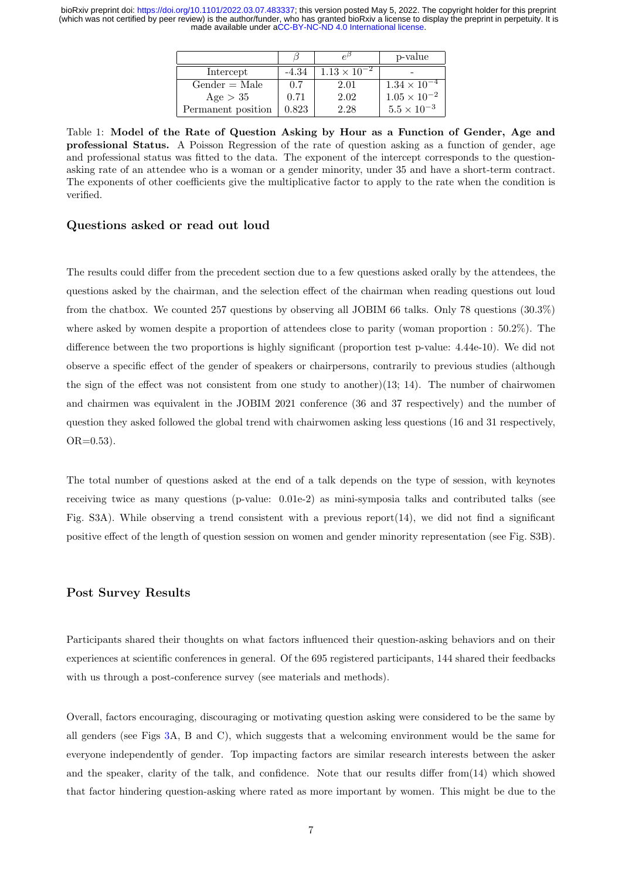|                    |         |                       | p-value               |
|--------------------|---------|-----------------------|-----------------------|
| Intercept          | $-4.34$ | $1.13 \times 10^{-2}$ |                       |
| $Gender = Male$    | 0.7     | 2.01                  | $1.34 \times 10^{-4}$ |
| Age $> 35$         | 0.71    | 2.02                  | $1.05 \times 10^{-2}$ |
| Permanent position | 0.823   | 2.28                  | $5.5 \times 10^{-3}$  |

<span id="page-6-0"></span>Table 1: Model of the Rate of Question Asking by Hour as a Function of Gender, Age and professional Status. A Poisson Regression of the rate of question asking as a function of gender, age and professional status was fitted to the data. The exponent of the intercept corresponds to the questionasking rate of an attendee who is a woman or a gender minority, under 35 and have a short-term contract. The exponents of other coefficients give the multiplicative factor to apply to the rate when the condition is verified.

#### Questions asked or read out loud

The results could differ from the precedent section due to a few questions asked orally by the attendees, the questions asked by the chairman, and the selection effect of the chairman when reading questions out loud from the chatbox. We counted 257 questions by observing all JOBIM 66 talks. Only 78 questions (30.3%) where asked by women despite a proportion of attendees close to parity (woman proportion : 50.2%). The difference between the two proportions is highly significant (proportion test p-value: 4.44e-10). We did not observe a specific effect of the gender of speakers or chairpersons, contrarily to previous studies (although the sign of the effect was not consistent from one study to another) $(13; 14)$  $(13; 14)$ . The number of chairwomen and chairmen was equivalent in the JOBIM 2021 conference (36 and 37 respectively) and the number of question they asked followed the global trend with chairwomen asking less questions (16 and 31 respectively, OR=0.53).

The total number of questions asked at the end of a talk depends on the type of session, with keynotes receiving twice as many questions (p-value: 0.01e-2) as mini-symposia talks and contributed talks (see Fig. S3A). While observing a trend consistent with a previous report $(14)$ , we did not find a significant positive effect of the length of question session on women and gender minority representation (see Fig. S3B).

#### Post Survey Results

Participants shared their thoughts on what factors influenced their question-asking behaviors and on their experiences at scientific conferences in general. Of the 695 registered participants, 144 shared their feedbacks with us through a post-conference survey (see materials and methods).

Overall, factors encouraging, discouraging or motivating question asking were considered to be the same by all genders (see Figs [3A](#page-8-0), B and C), which suggests that a welcoming environment would be the same for everyone independently of gender. Top impacting factors are similar research interests between the asker and the speaker, clarity of the talk, and confidence. Note that our results differ from[\(14\)](#page-19-13) which showed that factor hindering question-asking where rated as more important by women. This might be due to the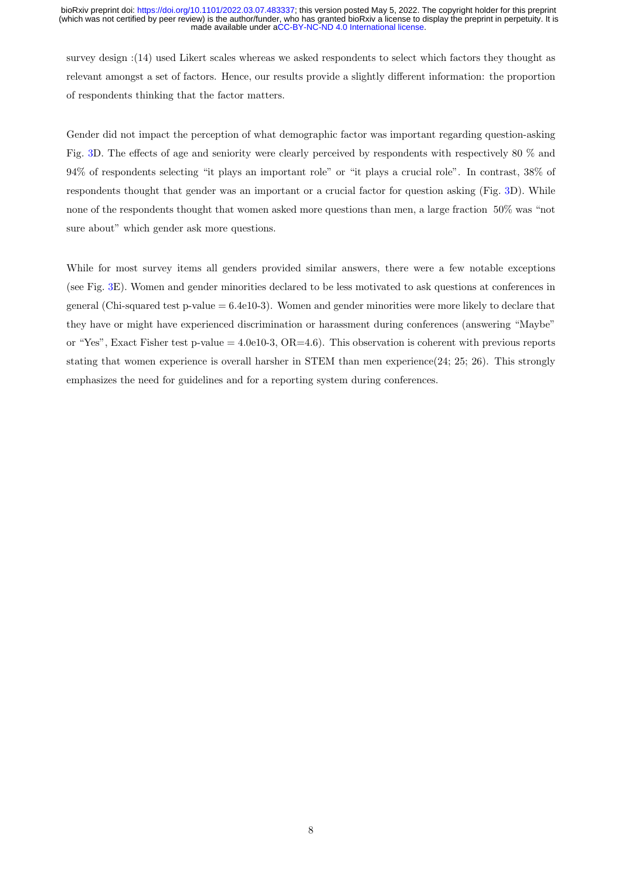survey design :[\(14\)](#page-19-13) used Likert scales whereas we asked respondents to select which factors they thought as relevant amongst a set of factors. Hence, our results provide a slightly different information: the proportion of respondents thinking that the factor matters.

Gender did not impact the perception of what demographic factor was important regarding question-asking Fig. [3D](#page-8-0). The effects of age and seniority were clearly perceived by respondents with respectively 80 % and 94% of respondents selecting "it plays an important role" or "it plays a crucial role". In contrast, 38% of respondents thought that gender was an important or a crucial factor for question asking (Fig. [3D](#page-8-0)). While none of the respondents thought that women asked more questions than men, a large fraction 50% was "not sure about" which gender ask more questions.

While for most survey items all genders provided similar answers, there were a few notable exceptions (see Fig. [3E](#page-8-0)). Women and gender minorities declared to be less motivated to ask questions at conferences in general (Chi-squared test p-value  $= 6.4 \text{e}10{-}3$ ). Women and gender minorities were more likely to declare that they have or might have experienced discrimination or harassment during conferences (answering "Maybe" or "Yes", Exact Fisher test p-value  $= 4.0e10-3$ , OR $= 4.6$ ). This observation is coherent with previous reports stating that women experience is overall harsher in STEM than men experience[\(24;](#page-20-8) [25;](#page-20-9) [26\)](#page-20-10). This strongly emphasizes the need for guidelines and for a reporting system during conferences.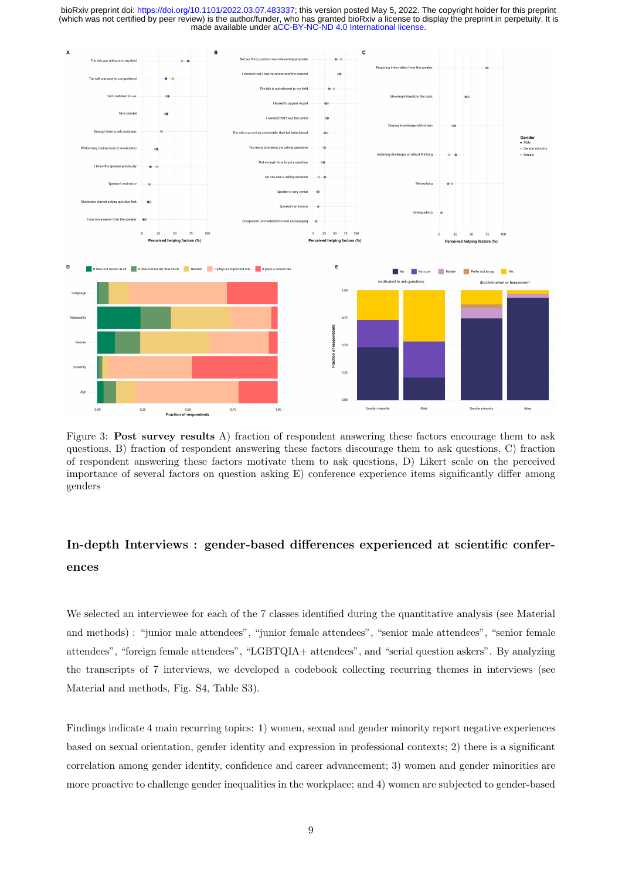

<span id="page-8-0"></span>Figure 3: **Post survey results** A) fraction of respondent answering these factors encourage them to ask questions, B) fraction of respondent answering these factors discourage them to ask questions, C) fraction of respondent answering these factors motivate them to ask questions, D) Likert scale on the perceived importance of several factors on question asking E) conference experience items significantly differ among genders

# In-depth Interviews : gender-based differences experienced at scientific conferences

We selected an interviewee for each of the 7 classes identified during the quantitative analysis (see Material and methods) : "junior male attendees", "junior female attendees", "senior male attendees", "senior female attendees", "foreign female attendees", "LGBTQIA+ attendees", and "serial question askers". By analyzing the transcripts of 7 interviews, we developed a codebook collecting recurring themes in interviews (see Material and methods, Fig. S4, Table S3).

Findings indicate 4 main recurring topics: 1) women, sexual and gender minority report negative experiences based on sexual orientation, gender identity and expression in professional contexts; 2) there is a significant correlation among gender identity, confidence and career advancement; 3) women and gender minorities are more proactive to challenge gender inequalities in the workplace; and 4) women are subjected to gender-based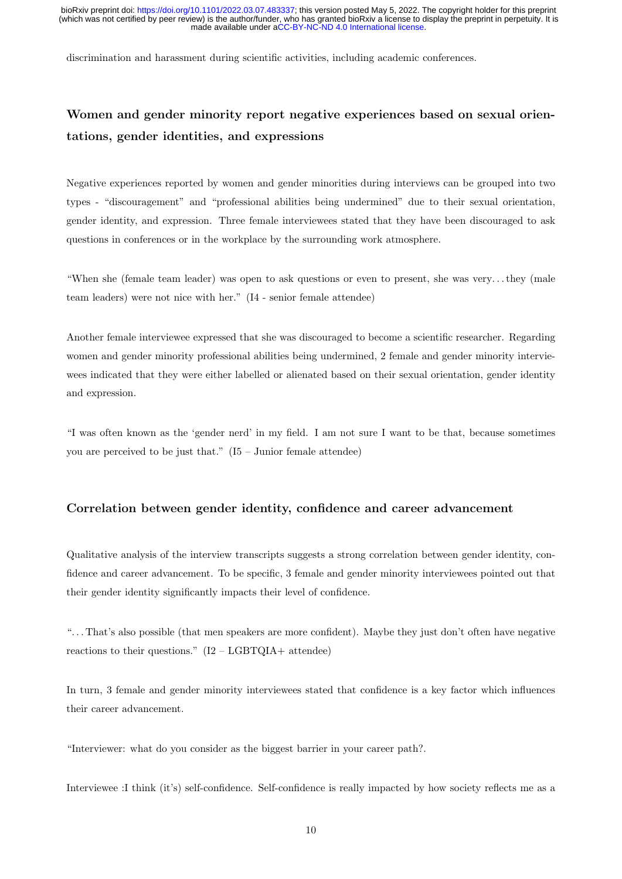discrimination and harassment during scientific activities, including academic conferences.

# Women and gender minority report negative experiences based on sexual orientations, gender identities, and expressions

Negative experiences reported by women and gender minorities during interviews can be grouped into two types - "discouragement" and "professional abilities being undermined" due to their sexual orientation, gender identity, and expression. Three female interviewees stated that they have been discouraged to ask questions in conferences or in the workplace by the surrounding work atmosphere.

"When she (female team leader) was open to ask questions or even to present, she was very. . . they (male team leaders) were not nice with her." (I4 - senior female attendee)

Another female interviewee expressed that she was discouraged to become a scientific researcher. Regarding women and gender minority professional abilities being undermined, 2 female and gender minority interviewees indicated that they were either labelled or alienated based on their sexual orientation, gender identity and expression.

"I was often known as the 'gender nerd' in my field. I am not sure I want to be that, because sometimes you are perceived to be just that."  $(I5 - Junior female attendance)$ 

### Correlation between gender identity, confidence and career advancement

Qualitative analysis of the interview transcripts suggests a strong correlation between gender identity, confidence and career advancement. To be specific, 3 female and gender minority interviewees pointed out that their gender identity significantly impacts their level of confidence.

". . . That's also possible (that men speakers are more confident). Maybe they just don't often have negative reactions to their questions."  $(I2 - LGBTQIA +$  attendee)

In turn, 3 female and gender minority interviewees stated that confidence is a key factor which influences their career advancement.

"Interviewer: what do you consider as the biggest barrier in your career path?.

Interviewee :I think (it's) self-confidence. Self-confidence is really impacted by how society reflects me as a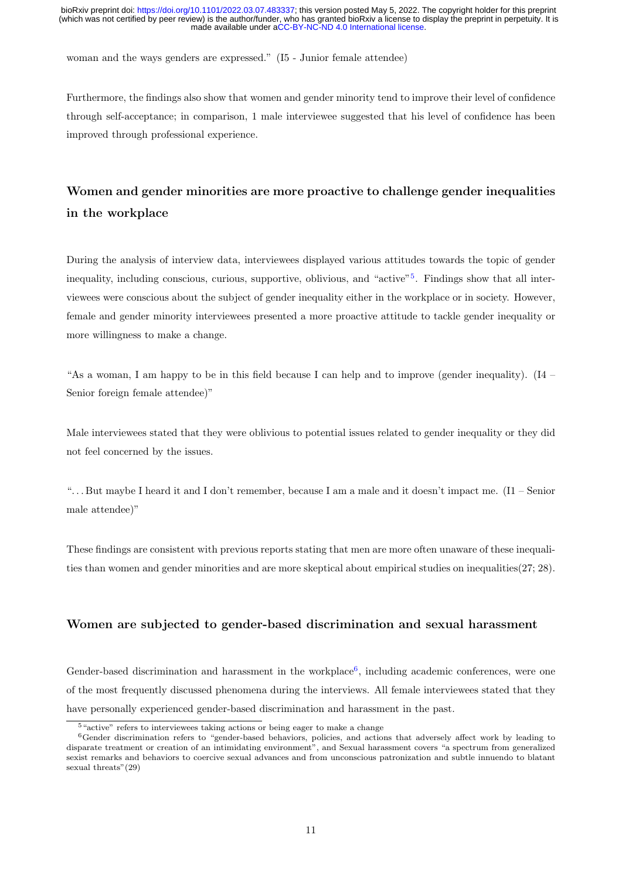woman and the ways genders are expressed." (I5 - Junior female attendee)

Furthermore, the findings also show that women and gender minority tend to improve their level of confidence through self-acceptance; in comparison, 1 male interviewee suggested that his level of confidence has been improved through professional experience.

# Women and gender minorities are more proactive to challenge gender inequalities in the workplace

During the analysis of interview data, interviewees displayed various attitudes towards the topic of gender inequality, including conscious, curious, supportive, oblivious, and "active"[5](#page-0-0) . Findings show that all interviewees were conscious about the subject of gender inequality either in the workplace or in society. However, female and gender minority interviewees presented a more proactive attitude to tackle gender inequality or more willingness to make a change.

"As a woman, I am happy to be in this field because I can help and to improve (gender inequality). (I4 – Senior foreign female attendee)"

Male interviewees stated that they were oblivious to potential issues related to gender inequality or they did not feel concerned by the issues.

". . . But maybe I heard it and I don't remember, because I am a male and it doesn't impact me. (I1 – Senior male attendee)"

These findings are consistent with previous reports stating that men are more often unaware of these inequalities than women and gender minorities and are more skeptical about empirical studies on inequalities[\(27;](#page-20-11) [28\)](#page-20-12).

### Women are subjected to gender-based discrimination and sexual harassment

Gender-based discrimination and harassment in the workplace<sup>[6](#page-0-0)</sup>, including academic conferences, were one of the most frequently discussed phenomena during the interviews. All female interviewees stated that they have personally experienced gender-based discrimination and harassment in the past.

<sup>5</sup>"active" refers to interviewees taking actions or being eager to make a change

<sup>6</sup>Gender discrimination refers to "gender-based behaviors, policies, and actions that adversely affect work by leading to disparate treatment or creation of an intimidating environment", and Sexual harassment covers "a spectrum from generalized sexist remarks and behaviors to coercive sexual advances and from unconscious patronization and subtle innuendo to blatant sexual threats"[\(29\)](#page-20-13)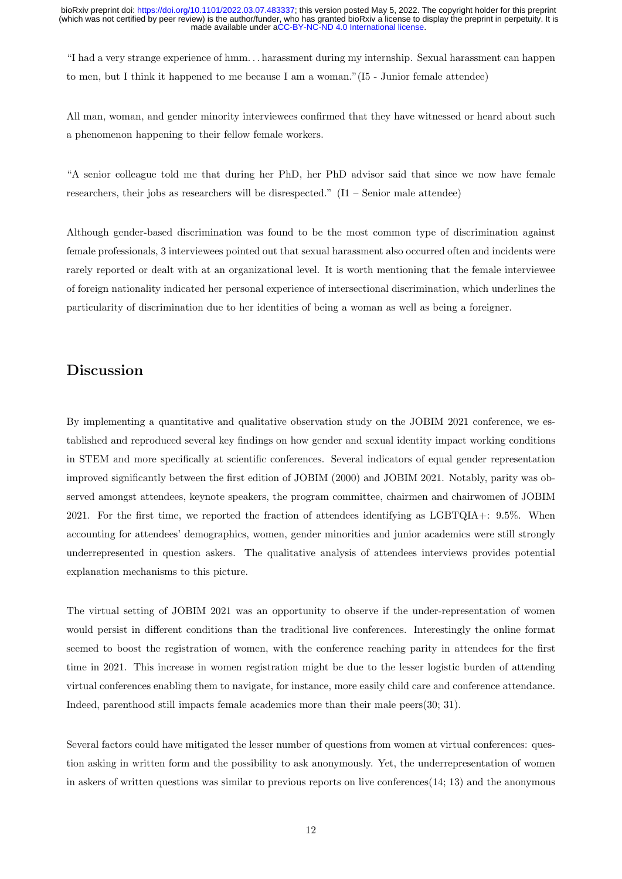"I had a very strange experience of hmm. . . harassment during my internship. Sexual harassment can happen to men, but I think it happened to me because I am a woman."(I5 - Junior female attendee)

All man, woman, and gender minority interviewees confirmed that they have witnessed or heard about such a phenomenon happening to their fellow female workers.

"A senior colleague told me that during her PhD, her PhD advisor said that since we now have female researchers, their jobs as researchers will be disrespected."  $(11 -$  Senior male attendee)

Although gender-based discrimination was found to be the most common type of discrimination against female professionals, 3 interviewees pointed out that sexual harassment also occurred often and incidents were rarely reported or dealt with at an organizational level. It is worth mentioning that the female interviewee of foreign nationality indicated her personal experience of intersectional discrimination, which underlines the particularity of discrimination due to her identities of being a woman as well as being a foreigner.

### Discussion

By implementing a quantitative and qualitative observation study on the JOBIM 2021 conference, we established and reproduced several key findings on how gender and sexual identity impact working conditions in STEM and more specifically at scientific conferences. Several indicators of equal gender representation improved significantly between the first edition of JOBIM (2000) and JOBIM 2021. Notably, parity was observed amongst attendees, keynote speakers, the program committee, chairmen and chairwomen of JOBIM 2021. For the first time, we reported the fraction of attendees identifying as LGBTQIA+: 9.5%. When accounting for attendees' demographics, women, gender minorities and junior academics were still strongly underrepresented in question askers. The qualitative analysis of attendees interviews provides potential explanation mechanisms to this picture.

The virtual setting of JOBIM 2021 was an opportunity to observe if the under-representation of women would persist in different conditions than the traditional live conferences. Interestingly the online format seemed to boost the registration of women, with the conference reaching parity in attendees for the first time in 2021. This increase in women registration might be due to the lesser logistic burden of attending virtual conferences enabling them to navigate, for instance, more easily child care and conference attendance. Indeed, parenthood still impacts female academics more than their male peers[\(30;](#page-21-0) [31\)](#page-21-1).

Several factors could have mitigated the lesser number of questions from women at virtual conferences: question asking in written form and the possibility to ask anonymously. Yet, the underrepresentation of women in askers of written questions was similar to previous reports on live conferences[\(14;](#page-19-13) [13\)](#page-19-12) and the anonymous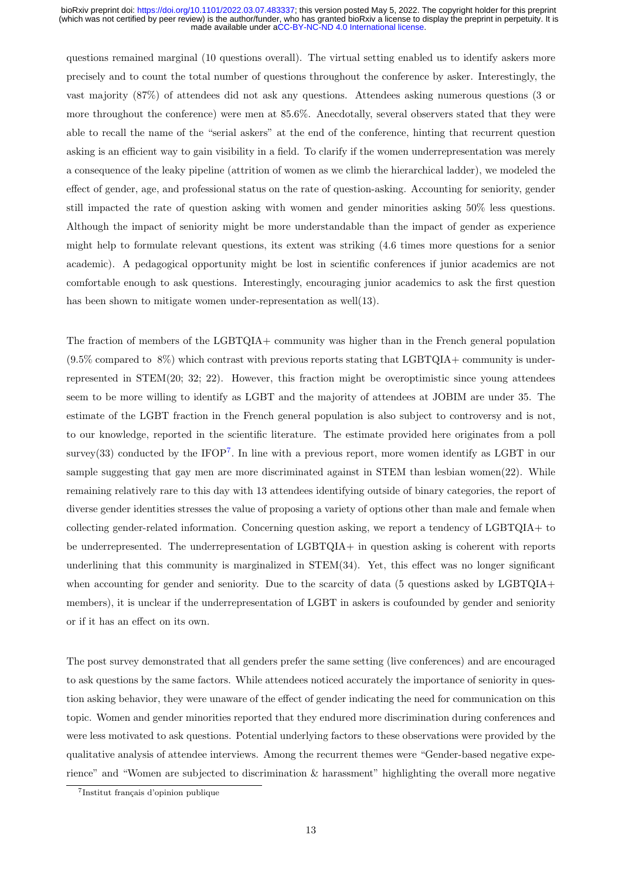questions remained marginal (10 questions overall). The virtual setting enabled us to identify askers more precisely and to count the total number of questions throughout the conference by asker. Interestingly, the vast majority (87%) of attendees did not ask any questions. Attendees asking numerous questions (3 or more throughout the conference) were men at 85.6%. Anecdotally, several observers stated that they were able to recall the name of the "serial askers" at the end of the conference, hinting that recurrent question asking is an efficient way to gain visibility in a field. To clarify if the women underrepresentation was merely a consequence of the leaky pipeline (attrition of women as we climb the hierarchical ladder), we modeled the effect of gender, age, and professional status on the rate of question-asking. Accounting for seniority, gender still impacted the rate of question asking with women and gender minorities asking 50% less questions. Although the impact of seniority might be more understandable than the impact of gender as experience might help to formulate relevant questions, its extent was striking (4.6 times more questions for a senior academic). A pedagogical opportunity might be lost in scientific conferences if junior academics are not comfortable enough to ask questions. Interestingly, encouraging junior academics to ask the first question has been shown to mitigate women under-representation as well[\(13\)](#page-19-12).

The fraction of members of the LGBTQIA+ community was higher than in the French general population  $(9.5\%$  compared to  $8\%)$  which contrast with previous reports stating that LGBTQIA+ community is underrepresented in STEM[\(20;](#page-20-4) [32;](#page-21-2) [22\)](#page-20-6). However, this fraction might be overoptimistic since young attendees seem to be more willing to identify as LGBT and the majority of attendees at JOBIM are under 35. The estimate of the LGBT fraction in the French general population is also subject to controversy and is not, to our knowledge, reported in the scientific literature. The estimate provided here originates from a poll survey[\(33\)](#page-21-3) conducted by the IFOP<sup>[7](#page-0-0)</sup>. In line with a previous report, more women identify as LGBT in our sample suggesting that gay men are more discriminated against in STEM than lesbian women[\(22\)](#page-20-6). While remaining relatively rare to this day with 13 attendees identifying outside of binary categories, the report of diverse gender identities stresses the value of proposing a variety of options other than male and female when collecting gender-related information. Concerning question asking, we report a tendency of LGBTQIA+ to be underrepresented. The underrepresentation of LGBTQIA+ in question asking is coherent with reports underlining that this community is marginalized in STEM[\(34\)](#page-21-4). Yet, this effect was no longer significant when accounting for gender and seniority. Due to the scarcity of data (5 questions asked by LGBTQIA+ members), it is unclear if the underrepresentation of LGBT in askers is coufounded by gender and seniority or if it has an effect on its own.

The post survey demonstrated that all genders prefer the same setting (live conferences) and are encouraged to ask questions by the same factors. While attendees noticed accurately the importance of seniority in question asking behavior, they were unaware of the effect of gender indicating the need for communication on this topic. Women and gender minorities reported that they endured more discrimination during conferences and were less motivated to ask questions. Potential underlying factors to these observations were provided by the qualitative analysis of attendee interviews. Among the recurrent themes were "Gender-based negative experience" and "Women are subjected to discrimination & harassment" highlighting the overall more negative

<sup>&</sup>lt;sup>7</sup>Institut français d'opinion publique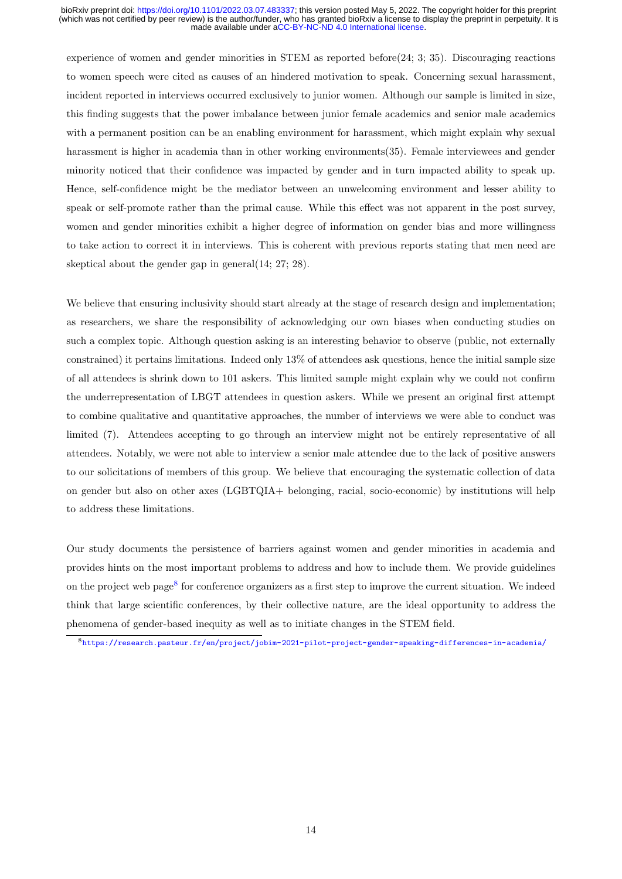experience of women and gender minorities in STEM as reported before[\(24;](#page-20-8) [3;](#page-19-2) [35\)](#page-21-5). Discouraging reactions to women speech were cited as causes of an hindered motivation to speak. Concerning sexual harassment, incident reported in interviews occurred exclusively to junior women. Although our sample is limited in size, this finding suggests that the power imbalance between junior female academics and senior male academics with a permanent position can be an enabling environment for harassment, which might explain why sexual harassment is higher in academia than in other working environments[\(35\)](#page-21-5). Female interviewees and gender minority noticed that their confidence was impacted by gender and in turn impacted ability to speak up. Hence, self-confidence might be the mediator between an unwelcoming environment and lesser ability to speak or self-promote rather than the primal cause. While this effect was not apparent in the post survey, women and gender minorities exhibit a higher degree of information on gender bias and more willingness to take action to correct it in interviews. This is coherent with previous reports stating that men need are skeptical about the gender gap in general[\(14;](#page-19-13) [27;](#page-20-11) [28\)](#page-20-12).

We believe that ensuring inclusivity should start already at the stage of research design and implementation; as researchers, we share the responsibility of acknowledging our own biases when conducting studies on such a complex topic. Although question asking is an interesting behavior to observe (public, not externally constrained) it pertains limitations. Indeed only 13% of attendees ask questions, hence the initial sample size of all attendees is shrink down to 101 askers. This limited sample might explain why we could not confirm the underrepresentation of LBGT attendees in question askers. While we present an original first attempt to combine qualitative and quantitative approaches, the number of interviews we were able to conduct was limited (7). Attendees accepting to go through an interview might not be entirely representative of all attendees. Notably, we were not able to interview a senior male attendee due to the lack of positive answers to our solicitations of members of this group. We believe that encouraging the systematic collection of data on gender but also on other axes (LGBTQIA+ belonging, racial, socio-economic) by institutions will help to address these limitations.

Our study documents the persistence of barriers against women and gender minorities in academia and provides hints on the most important problems to address and how to include them. We provide guidelines on the project web page<sup>[8](#page-0-0)</sup> for conference organizers as a first step to improve the current situation. We indeed think that large scientific conferences, by their collective nature, are the ideal opportunity to address the phenomena of gender-based inequity as well as to initiate changes in the STEM field.

<sup>8</sup><https://research.pasteur.fr/en/project/jobim-2021-pilot-project-gender-speaking-differences-in-academia/>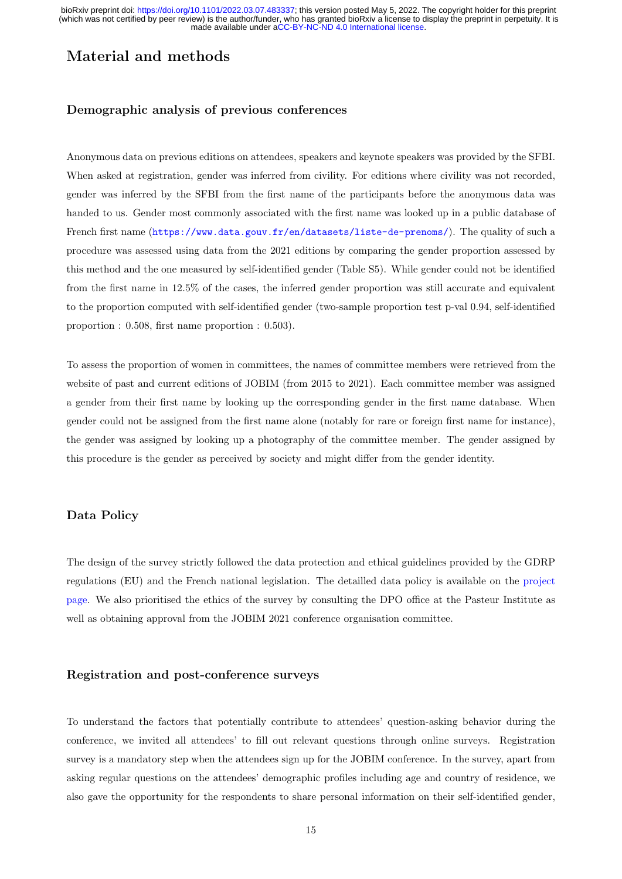# Material and methods

### Demographic analysis of previous conferences

Anonymous data on previous editions on attendees, speakers and keynote speakers was provided by the SFBI. When asked at registration, gender was inferred from civility. For editions where civility was not recorded, gender was inferred by the SFBI from the first name of the participants before the anonymous data was handed to us. Gender most commonly associated with the first name was looked up in a public database of French first name (<https://www.data.gouv.fr/en/datasets/liste-de-prenoms/>). The quality of such a procedure was assessed using data from the 2021 editions by comparing the gender proportion assessed by this method and the one measured by self-identified gender (Table S5). While gender could not be identified from the first name in 12.5% of the cases, the inferred gender proportion was still accurate and equivalent to the proportion computed with self-identified gender (two-sample proportion test p-val 0.94, self-identified proportion : 0.508, first name proportion : 0.503).

To assess the proportion of women in committees, the names of committee members were retrieved from the website of past and current editions of JOBIM (from 2015 to 2021). Each committee member was assigned a gender from their first name by looking up the corresponding gender in the first name database. When gender could not be assigned from the first name alone (notably for rare or foreign first name for instance), the gender was assigned by looking up a photography of the committee member. The gender assigned by this procedure is the gender as perceived by society and might differ from the gender identity.

### Data Policy

The design of the survey strictly followed the data protection and ethical guidelines provided by the GDRP regulations (EU) and the French national legislation. The detailled data policy is available on the [project](https://research.pasteur.fr/en/project/jobim-2021-pilot-project-gender-speaking-differences-in-academia/) [page.](https://research.pasteur.fr/en/project/jobim-2021-pilot-project-gender-speaking-differences-in-academia/) We also prioritised the ethics of the survey by consulting the DPO office at the Pasteur Institute as well as obtaining approval from the JOBIM 2021 conference organisation committee.

### Registration and post-conference surveys

To understand the factors that potentially contribute to attendees' question-asking behavior during the conference, we invited all attendees' to fill out relevant questions through online surveys. Registration survey is a mandatory step when the attendees sign up for the JOBIM conference. In the survey, apart from asking regular questions on the attendees' demographic profiles including age and country of residence, we also gave the opportunity for the respondents to share personal information on their self-identified gender,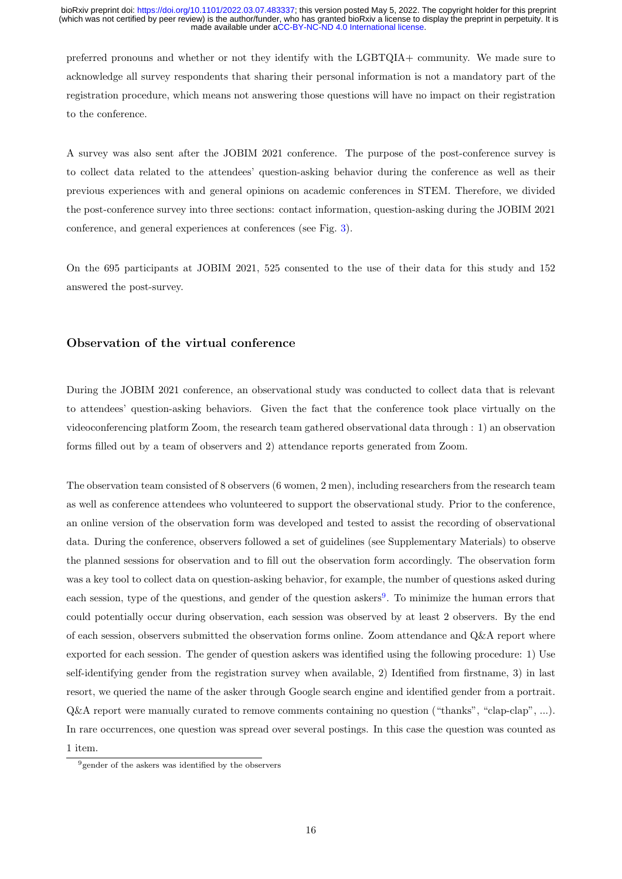preferred pronouns and whether or not they identify with the LGBTQIA+ community. We made sure to acknowledge all survey respondents that sharing their personal information is not a mandatory part of the registration procedure, which means not answering those questions will have no impact on their registration to the conference.

A survey was also sent after the JOBIM 2021 conference. The purpose of the post-conference survey is to collect data related to the attendees' question-asking behavior during the conference as well as their previous experiences with and general opinions on academic conferences in STEM. Therefore, we divided the post-conference survey into three sections: contact information, question-asking during the JOBIM 2021 conference, and general experiences at conferences (see Fig. [3\)](#page-8-0).

On the 695 participants at JOBIM 2021, 525 consented to the use of their data for this study and 152 answered the post-survey.

### Observation of the virtual conference

During the JOBIM 2021 conference, an observational study was conducted to collect data that is relevant to attendees' question-asking behaviors. Given the fact that the conference took place virtually on the videoconferencing platform Zoom, the research team gathered observational data through : 1) an observation forms filled out by a team of observers and 2) attendance reports generated from Zoom.

The observation team consisted of 8 observers (6 women, 2 men), including researchers from the research team as well as conference attendees who volunteered to support the observational study. Prior to the conference, an online version of the observation form was developed and tested to assist the recording of observational data. During the conference, observers followed a set of guidelines (see Supplementary Materials) to observe the planned sessions for observation and to fill out the observation form accordingly. The observation form was a key tool to collect data on question-asking behavior, for example, the number of questions asked during each session, type of the questions, and gender of the question askers<sup>[9](#page-0-0)</sup>. To minimize the human errors that could potentially occur during observation, each session was observed by at least 2 observers. By the end of each session, observers submitted the observation forms online. Zoom attendance and Q&A report where exported for each session. The gender of question askers was identified using the following procedure: 1) Use self-identifying gender from the registration survey when available, 2) Identified from firstname, 3) in last resort, we queried the name of the asker through Google search engine and identified gender from a portrait. Q&A report were manually curated to remove comments containing no question ("thanks", "clap-clap", ...). In rare occurrences, one question was spread over several postings. In this case the question was counted as 1 item.

 $9$  gender of the askers was identified by the observers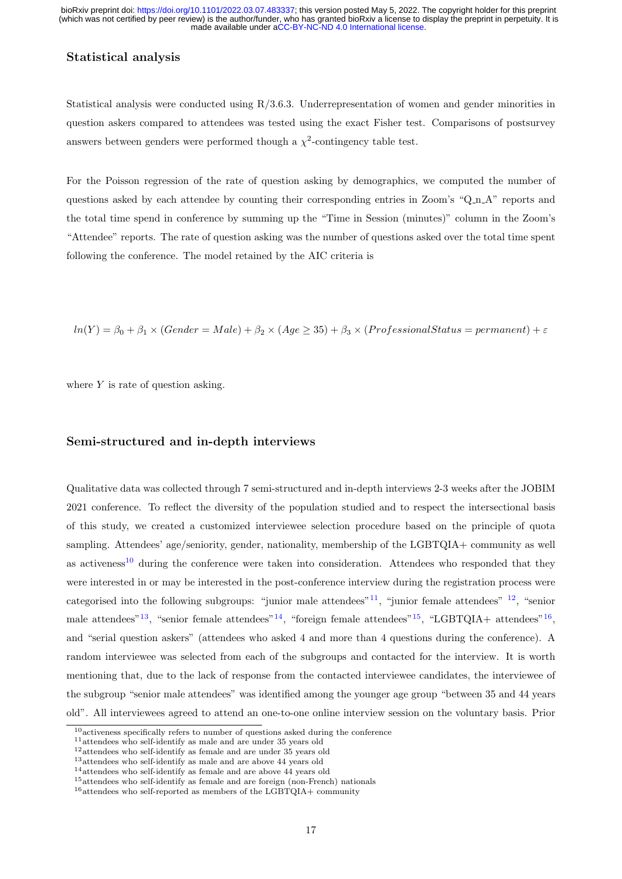#### Statistical analysis

Statistical analysis were conducted using R/3.6.3. Underrepresentation of women and gender minorities in question askers compared to attendees was tested using the exact Fisher test. Comparisons of postsurvey answers between genders were performed though a  $\chi^2$ -contingency table test.

For the Poisson regression of the rate of question asking by demographics, we computed the number of questions asked by each attendee by counting their corresponding entries in Zoom's "Q\_n\_A" reports and the total time spend in conference by summing up the "Time in Session (minutes)" column in the Zoom's "Attendee" reports. The rate of question asking was the number of questions asked over the total time spent following the conference. The model retained by the AIC criteria is

 $ln(Y) = \beta_0 + \beta_1 \times (Gender = Male) + \beta_2 \times (Age \ge 35) + \beta_3 \times (Professional Status = permanent) + \varepsilon$ 

where  $Y$  is rate of question asking.

### Semi-structured and in-depth interviews

Qualitative data was collected through 7 semi-structured and in-depth interviews 2-3 weeks after the JOBIM 2021 conference. To reflect the diversity of the population studied and to respect the intersectional basis of this study, we created a customized interviewee selection procedure based on the principle of quota sampling. Attendees' age/seniority, gender, nationality, membership of the LGBTQIA+ community as well as activeness<sup>[10](#page-0-0)</sup> during the conference were taken into consideration. Attendees who responded that they were interested in or may be interested in the post-conference interview during the registration process were categorised into the following subgroups: "junior male attendees"  $11$ , "junior female attendees"  $12$ , "senior male attendees"<sup>[13](#page-0-0)</sup>, "senior female attendees"<sup>[14](#page-0-0)</sup>, "foreign female attendees"<sup>[15](#page-0-0)</sup>, "LGBTQIA+ attendees"<sup>[16](#page-0-0)</sup>, and "serial question askers" (attendees who asked 4 and more than 4 questions during the conference). A random interviewee was selected from each of the subgroups and contacted for the interview. It is worth mentioning that, due to the lack of response from the contacted interviewee candidates, the interviewee of the subgroup "senior male attendees" was identified among the younger age group "between 35 and 44 years old". All interviewees agreed to attend an one-to-one online interview session on the voluntary basis. Prior

 $10$ <sub>activeness</sub> specifically refers to number of questions asked during the conference

<sup>11</sup>attendees who self-identify as male and are under 35 years old

 $^{12}\rm{attendees}$  who self-identify as female and are under 35 years old

<sup>13</sup>attendees who self-identify as male and are above 44 years old

<sup>&</sup>lt;sup>14</sup>attendees who self-identify as female and are above 44 years old

<sup>15</sup>attendees who self-identify as female and are foreign (non-French) nationals

 $16$ attendees who self-reported as members of the LGBTQIA+ community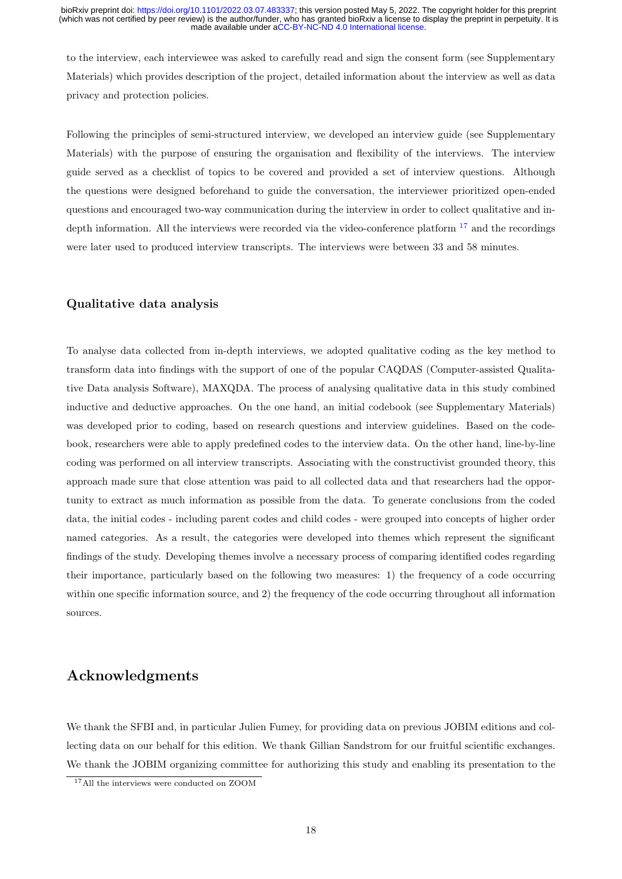to the interview, each interviewee was asked to carefully read and sign the consent form (see Supplementary Materials) which provides description of the project, detailed information about the interview as well as data privacy and protection policies.

Following the principles of semi-structured interview, we developed an interview guide (see Supplementary Materials) with the purpose of ensuring the organisation and flexibility of the interviews. The interview guide served as a checklist of topics to be covered and provided a set of interview questions. Although the questions were designed beforehand to guide the conversation, the interviewer prioritized open-ended questions and encouraged two-way communication during the interview in order to collect qualitative and indepth information. All the interviews were recorded via the video-conference platform  $17$  and the recordings were later used to produced interview transcripts. The interviews were between 33 and 58 minutes.

### Qualitative data analysis

To analyse data collected from in-depth interviews, we adopted qualitative coding as the key method to transform data into findings with the support of one of the popular CAQDAS (Computer-assisted Qualitative Data analysis Software), MAXQDA. The process of analysing qualitative data in this study combined inductive and deductive approaches. On the one hand, an initial codebook (see Supplementary Materials) was developed prior to coding, based on research questions and interview guidelines. Based on the codebook, researchers were able to apply predefined codes to the interview data. On the other hand, line-by-line coding was performed on all interview transcripts. Associating with the constructivist grounded theory, this approach made sure that close attention was paid to all collected data and that researchers had the opportunity to extract as much information as possible from the data. To generate conclusions from the coded data, the initial codes - including parent codes and child codes - were grouped into concepts of higher order named categories. As a result, the categories were developed into themes which represent the significant findings of the study. Developing themes involve a necessary process of comparing identified codes regarding their importance, particularly based on the following two measures: 1) the frequency of a code occurring within one specific information source, and 2) the frequency of the code occurring throughout all information sources.

# Acknowledgments

We thank the SFBI and, in particular Julien Fumey, for providing data on previous JOBIM editions and collecting data on our behalf for this edition. We thank Gillian Sandstrom for our fruitful scientific exchanges. We thank the JOBIM organizing committee for authorizing this study and enabling its presentation to the

<sup>17</sup>All the interviews were conducted on ZOOM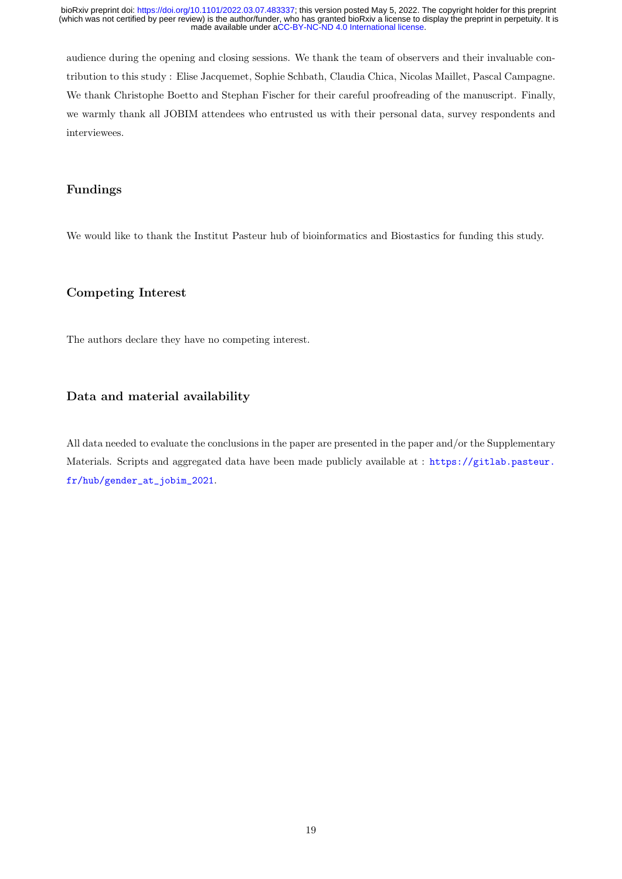audience during the opening and closing sessions. We thank the team of observers and their invaluable contribution to this study : Elise Jacquemet, Sophie Schbath, Claudia Chica, Nicolas Maillet, Pascal Campagne. We thank Christophe Boetto and Stephan Fischer for their careful proofreading of the manuscript. Finally, we warmly thank all JOBIM attendees who entrusted us with their personal data, survey respondents and interviewees.

### Fundings

We would like to thank the Institut Pasteur hub of bioinformatics and Biostastics for funding this study.

### Competing Interest

The authors declare they have no competing interest.

### Data and material availability

All data needed to evaluate the conclusions in the paper are presented in the paper and/or the Supplementary Materials. Scripts and aggregated data have been made publicly available at : [https://gitlab.pasteur.](https://gitlab.pasteur.fr/hub/gender_at_jobim_2021) [fr/hub/gender\\_at\\_jobim\\_2021](https://gitlab.pasteur.fr/hub/gender_at_jobim_2021).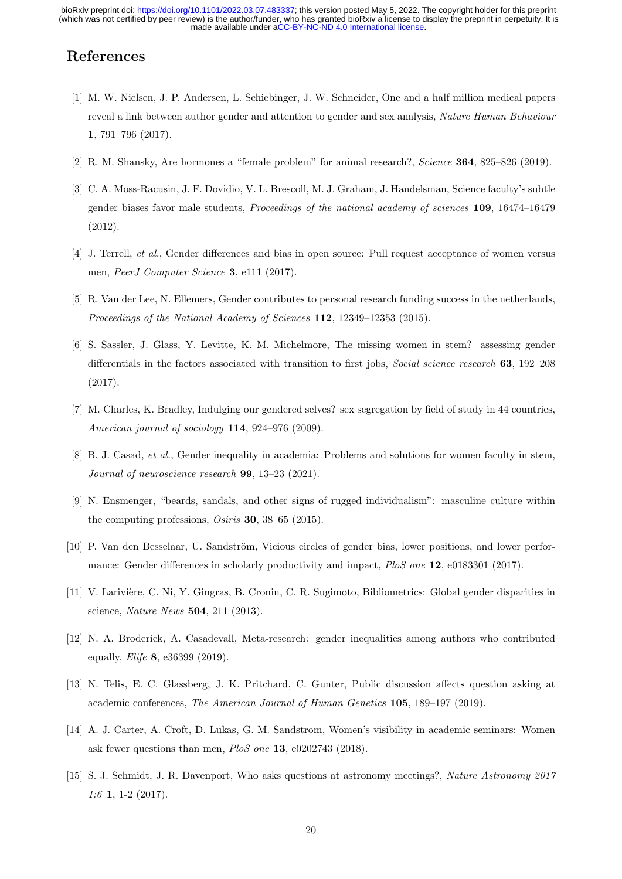# References

- <span id="page-19-0"></span>[1] M. W. Nielsen, J. P. Andersen, L. Schiebinger, J. W. Schneider, One and a half million medical papers reveal a link between author gender and attention to gender and sex analysis, Nature Human Behaviour 1, 791–796 (2017).
- <span id="page-19-1"></span>[2] R. M. Shansky, Are hormones a "female problem" for animal research?, Science 364, 825–826 (2019).
- <span id="page-19-2"></span>[3] C. A. Moss-Racusin, J. F. Dovidio, V. L. Brescoll, M. J. Graham, J. Handelsman, Science faculty's subtle gender biases favor male students, Proceedings of the national academy of sciences 109, 16474–16479 (2012).
- <span id="page-19-3"></span>[4] J. Terrell, et al., Gender differences and bias in open source: Pull request acceptance of women versus men, PeerJ Computer Science 3, e111 (2017).
- <span id="page-19-4"></span>[5] R. Van der Lee, N. Ellemers, Gender contributes to personal research funding success in the netherlands, Proceedings of the National Academy of Sciences 112, 12349–12353 (2015).
- <span id="page-19-5"></span>[6] S. Sassler, J. Glass, Y. Levitte, K. M. Michelmore, The missing women in stem? assessing gender differentials in the factors associated with transition to first jobs, *Social science research* 63, 192–208 (2017).
- <span id="page-19-6"></span>[7] M. Charles, K. Bradley, Indulging our gendered selves? sex segregation by field of study in 44 countries, American journal of sociology 114, 924–976 (2009).
- <span id="page-19-7"></span>[8] B. J. Casad, et al., Gender inequality in academia: Problems and solutions for women faculty in stem, Journal of neuroscience research 99, 13–23 (2021).
- <span id="page-19-8"></span>[9] N. Ensmenger, "beards, sandals, and other signs of rugged individualism": masculine culture within the computing professions, Osiris 30, 38–65 (2015).
- <span id="page-19-9"></span>[10] P. Van den Besselaar, U. Sandström, Vicious circles of gender bias, lower positions, and lower performance: Gender differences in scholarly productivity and impact, PloS one 12, e0183301 (2017).
- <span id="page-19-10"></span>[11] V. Larivi`ere, C. Ni, Y. Gingras, B. Cronin, C. R. Sugimoto, Bibliometrics: Global gender disparities in science, Nature News 504, 211 (2013).
- <span id="page-19-11"></span>[12] N. A. Broderick, A. Casadevall, Meta-research: gender inequalities among authors who contributed equally, Elife 8, e36399 (2019).
- <span id="page-19-12"></span>[13] N. Telis, E. C. Glassberg, J. K. Pritchard, C. Gunter, Public discussion affects question asking at academic conferences, The American Journal of Human Genetics 105, 189–197 (2019).
- <span id="page-19-13"></span>[14] A. J. Carter, A. Croft, D. Lukas, G. M. Sandstrom, Women's visibility in academic seminars: Women ask fewer questions than men, PloS one 13, e0202743 (2018).
- <span id="page-19-14"></span>[15] S. J. Schmidt, J. R. Davenport, Who asks questions at astronomy meetings?, Nature Astronomy 2017 1:6 1, 1-2 (2017).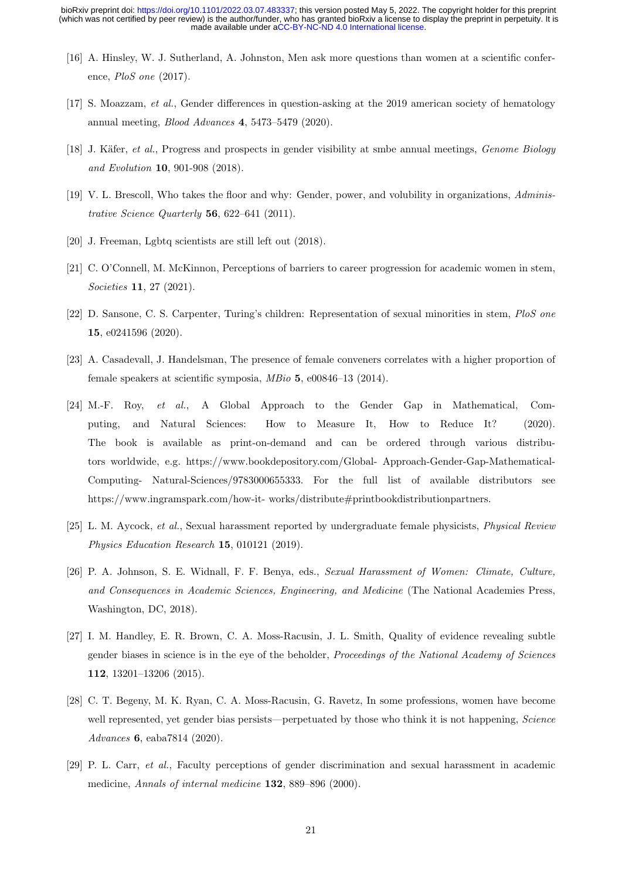- <span id="page-20-0"></span>[16] A. Hinsley, W. J. Sutherland, A. Johnston, Men ask more questions than women at a scientific conference, PloS one (2017).
- <span id="page-20-1"></span>[17] S. Moazzam, et al., Gender differences in question-asking at the 2019 american society of hematology annual meeting, Blood Advances 4, 5473–5479 (2020).
- <span id="page-20-2"></span>[18] J. Käfer, et al., Progress and prospects in gender visibility at smbe annual meetings, *Genome Biology* and Evolution 10, 901-908 (2018).
- <span id="page-20-3"></span>[19] V. L. Brescoll, Who takes the floor and why: Gender, power, and volubility in organizations, Administrative Science Quarterly 56, 622–641 (2011).
- <span id="page-20-4"></span>[20] J. Freeman, Lgbtq scientists are still left out (2018).
- <span id="page-20-5"></span>[21] C. O'Connell, M. McKinnon, Perceptions of barriers to career progression for academic women in stem, Societies 11, 27 (2021).
- <span id="page-20-6"></span>[22] D. Sansone, C. S. Carpenter, Turing's children: Representation of sexual minorities in stem, PloS one 15, e0241596 (2020).
- <span id="page-20-7"></span>[23] A. Casadevall, J. Handelsman, The presence of female conveners correlates with a higher proportion of female speakers at scientific symposia, MBio 5, e00846–13 (2014).
- <span id="page-20-8"></span>[24] M.-F. Roy, et al., A Global Approach to the Gender Gap in Mathematical, Computing, and Natural Sciences: How to Measure It, How to Reduce It? (2020). The book is available as print-on-demand and can be ordered through various distributors worldwide, e.g. https://www.bookdepository.com/Global- Approach-Gender-Gap-Mathematical-Computing- Natural-Sciences/9783000655333. For the full list of available distributors see https://www.ingramspark.com/how-it- works/distribute#printbookdistributionpartners.
- <span id="page-20-9"></span>[25] L. M. Aycock, et al., Sexual harassment reported by undergraduate female physicists, Physical Review Physics Education Research 15, 010121 (2019).
- <span id="page-20-10"></span>[26] P. A. Johnson, S. E. Widnall, F. F. Benya, eds., Sexual Harassment of Women: Climate, Culture, and Consequences in Academic Sciences, Engineering, and Medicine (The National Academies Press, Washington, DC, 2018).
- <span id="page-20-11"></span>[27] I. M. Handley, E. R. Brown, C. A. Moss-Racusin, J. L. Smith, Quality of evidence revealing subtle gender biases in science is in the eye of the beholder, Proceedings of the National Academy of Sciences 112, 13201–13206 (2015).
- <span id="page-20-12"></span>[28] C. T. Begeny, M. K. Ryan, C. A. Moss-Racusin, G. Ravetz, In some professions, women have become well represented, yet gender bias persists—perpetuated by those who think it is not happening, Science Advances 6, eaba7814 (2020).
- <span id="page-20-13"></span>[29] P. L. Carr, et al., Faculty perceptions of gender discrimination and sexual harassment in academic medicine, Annals of internal medicine 132, 889–896 (2000).